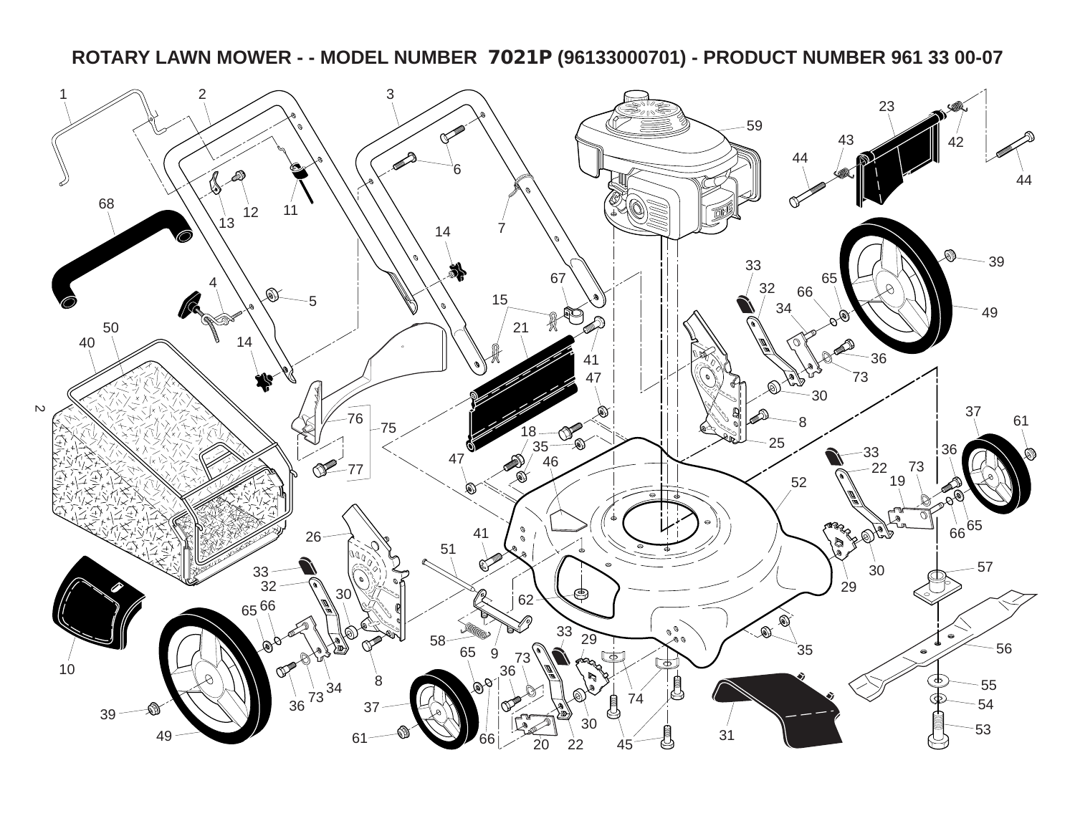**ROTARY LAWN MOWER - - MODEL NUMBER 7021P (96133000701) - PRODUCT NUMBER 961 33 00-07**